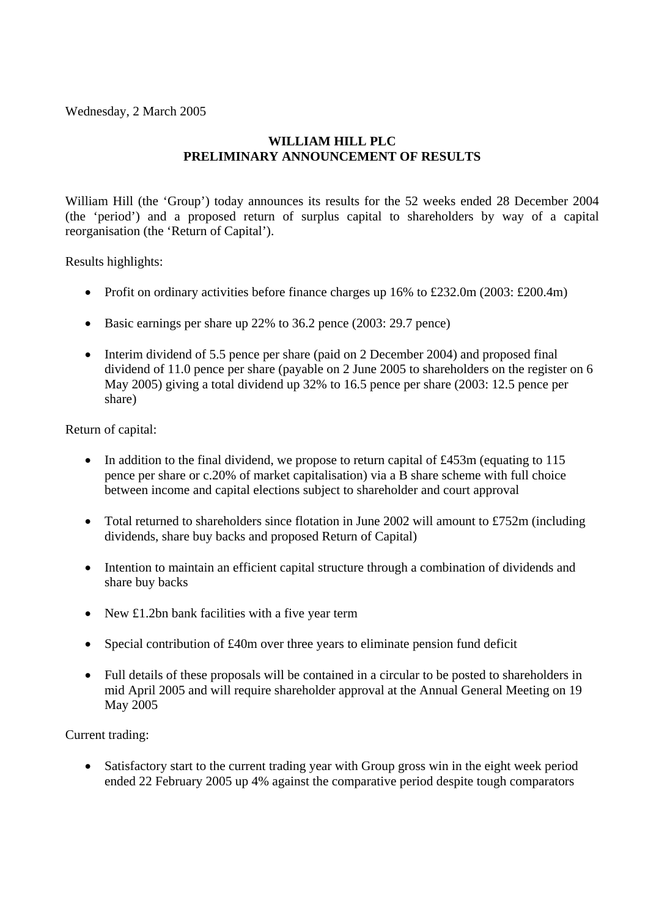Wednesday, 2 March 2005

# **WILLIAM HILL PLC PRELIMINARY ANNOUNCEMENT OF RESULTS**

William Hill (the 'Group') today announces its results for the 52 weeks ended 28 December 2004 (the 'period') and a proposed return of surplus capital to shareholders by way of a capital reorganisation (the 'Return of Capital').

Results highlights:

- Profit on ordinary activities before finance charges up 16% to £232.0m (2003: £200.4m)
- Basic earnings per share up 22% to 36.2 pence (2003: 29.7 pence)
- Interim dividend of 5.5 pence per share (paid on 2 December 2004) and proposed final dividend of 11.0 pence per share (payable on 2 June 2005 to shareholders on the register on 6 May 2005) giving a total dividend up 32% to 16.5 pence per share (2003: 12.5 pence per share)

Return of capital:

- In addition to the final dividend, we propose to return capital of £453m (equating to 115 pence per share or c.20% of market capitalisation) via a B share scheme with full choice between income and capital elections subject to shareholder and court approval
- Total returned to shareholders since flotation in June 2002 will amount to £752m (including dividends, share buy backs and proposed Return of Capital)
- Intention to maintain an efficient capital structure through a combination of dividends and share buy backs
- New £1.2bn bank facilities with a five year term
- Special contribution of £40m over three years to eliminate pension fund deficit
- Full details of these proposals will be contained in a circular to be posted to shareholders in mid April 2005 and will require shareholder approval at the Annual General Meeting on 19 May 2005

Current trading:

Satisfactory start to the current trading year with Group gross win in the eight week period ended 22 February 2005 up 4% against the comparative period despite tough comparators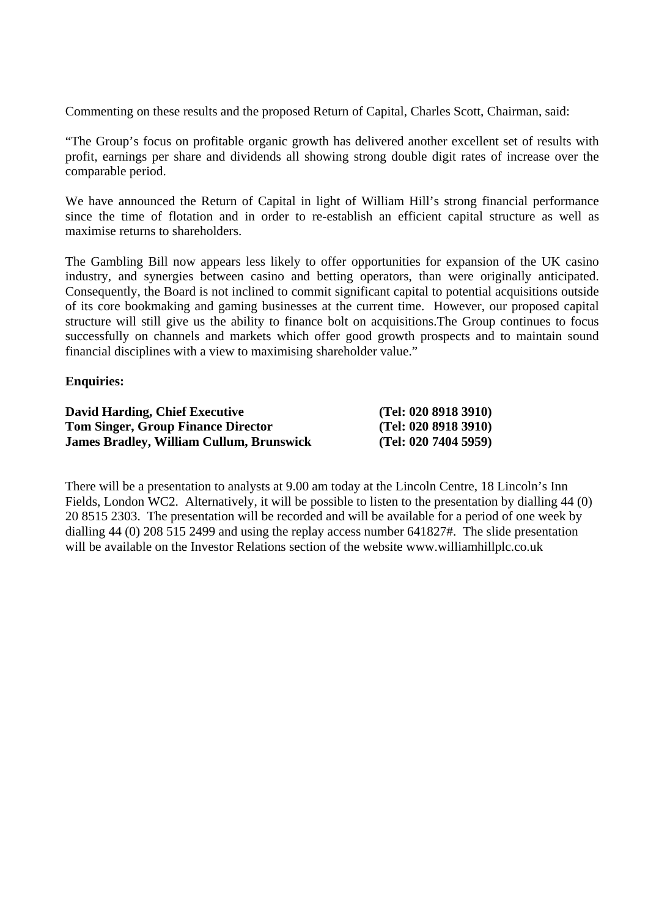Commenting on these results and the proposed Return of Capital, Charles Scott, Chairman, said:

"The Group's focus on profitable organic growth has delivered another excellent set of results with profit, earnings per share and dividends all showing strong double digit rates of increase over the comparable period.

We have announced the Return of Capital in light of William Hill's strong financial performance since the time of flotation and in order to re-establish an efficient capital structure as well as maximise returns to shareholders.

The Gambling Bill now appears less likely to offer opportunities for expansion of the UK casino industry, and synergies between casino and betting operators, than were originally anticipated. Consequently, the Board is not inclined to commit significant capital to potential acquisitions outside of its core bookmaking and gaming businesses at the current time. However, our proposed capital structure will still give us the ability to finance bolt on acquisitions.The Group continues to focus successfully on channels and markets which offer good growth prospects and to maintain sound financial disciplines with a view to maximising shareholder value."

#### **Enquiries:**

| <b>David Harding, Chief Executive</b>           | (Tel: 020 8918 3910) |
|-------------------------------------------------|----------------------|
| <b>Tom Singer, Group Finance Director</b>       | (Tel: 020 8918 3910) |
| <b>James Bradley, William Cullum, Brunswick</b> | (Tel: 02074045959)   |

There will be a presentation to analysts at 9.00 am today at the Lincoln Centre, 18 Lincoln's Inn Fields, London WC2. Alternatively, it will be possible to listen to the presentation by dialling 44 (0) 20 8515 2303. The presentation will be recorded and will be available for a period of one week by dialling 44 (0) 208 515 2499 and using the replay access number 641827#. The slide presentation will be available on the Investor Relations section of the website www.williamhillplc.co.uk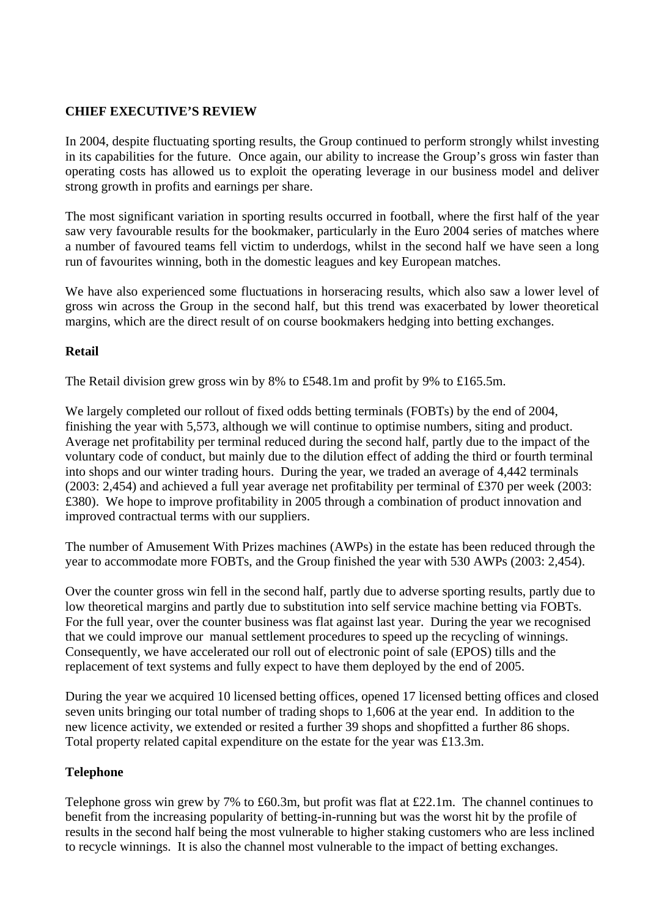### **CHIEF EXECUTIVE'S REVIEW**

In 2004, despite fluctuating sporting results, the Group continued to perform strongly whilst investing in its capabilities for the future. Once again, our ability to increase the Group's gross win faster than operating costs has allowed us to exploit the operating leverage in our business model and deliver strong growth in profits and earnings per share.

The most significant variation in sporting results occurred in football, where the first half of the year saw very favourable results for the bookmaker, particularly in the Euro 2004 series of matches where a number of favoured teams fell victim to underdogs, whilst in the second half we have seen a long run of favourites winning, both in the domestic leagues and key European matches.

We have also experienced some fluctuations in horseracing results, which also saw a lower level of gross win across the Group in the second half, but this trend was exacerbated by lower theoretical margins, which are the direct result of on course bookmakers hedging into betting exchanges.

#### **Retail**

The Retail division grew gross win by 8% to £548.1m and profit by 9% to £165.5m.

We largely completed our rollout of fixed odds betting terminals (FOBTs) by the end of 2004, finishing the year with 5,573, although we will continue to optimise numbers, siting and product. Average net profitability per terminal reduced during the second half, partly due to the impact of the voluntary code of conduct, but mainly due to the dilution effect of adding the third or fourth terminal into shops and our winter trading hours. During the year, we traded an average of 4,442 terminals (2003: 2,454) and achieved a full year average net profitability per terminal of £370 per week (2003: £380). We hope to improve profitability in 2005 through a combination of product innovation and improved contractual terms with our suppliers.

The number of Amusement With Prizes machines (AWPs) in the estate has been reduced through the year to accommodate more FOBTs, and the Group finished the year with 530 AWPs (2003: 2,454).

Over the counter gross win fell in the second half, partly due to adverse sporting results, partly due to low theoretical margins and partly due to substitution into self service machine betting via FOBTs. For the full year, over the counter business was flat against last year. During the year we recognised that we could improve our manual settlement procedures to speed up the recycling of winnings. Consequently, we have accelerated our roll out of electronic point of sale (EPOS) tills and the replacement of text systems and fully expect to have them deployed by the end of 2005.

During the year we acquired 10 licensed betting offices, opened 17 licensed betting offices and closed seven units bringing our total number of trading shops to 1,606 at the year end. In addition to the new licence activity, we extended or resited a further 39 shops and shopfitted a further 86 shops. Total property related capital expenditure on the estate for the year was £13.3m.

#### **Telephone**

Telephone gross win grew by 7% to £60.3m, but profit was flat at £22.1m. The channel continues to benefit from the increasing popularity of betting-in-running but was the worst hit by the profile of results in the second half being the most vulnerable to higher staking customers who are less inclined to recycle winnings. It is also the channel most vulnerable to the impact of betting exchanges.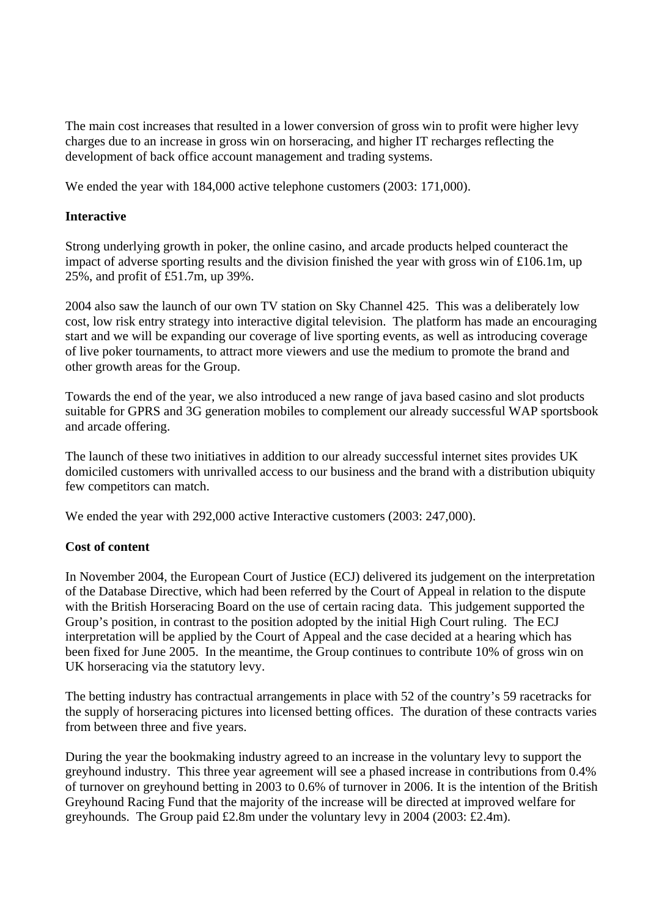The main cost increases that resulted in a lower conversion of gross win to profit were higher levy charges due to an increase in gross win on horseracing, and higher IT recharges reflecting the development of back office account management and trading systems.

We ended the year with 184,000 active telephone customers (2003: 171,000).

#### **Interactive**

Strong underlying growth in poker, the online casino, and arcade products helped counteract the impact of adverse sporting results and the division finished the year with gross win of £106.1m, up 25%, and profit of £51.7m, up 39%.

2004 also saw the launch of our own TV station on Sky Channel 425. This was a deliberately low cost, low risk entry strategy into interactive digital television. The platform has made an encouraging start and we will be expanding our coverage of live sporting events, as well as introducing coverage of live poker tournaments, to attract more viewers and use the medium to promote the brand and other growth areas for the Group.

Towards the end of the year, we also introduced a new range of java based casino and slot products suitable for GPRS and 3G generation mobiles to complement our already successful WAP sportsbook and arcade offering.

The launch of these two initiatives in addition to our already successful internet sites provides UK domiciled customers with unrivalled access to our business and the brand with a distribution ubiquity few competitors can match.

We ended the year with 292,000 active Interactive customers (2003: 247,000).

### **Cost of content**

In November 2004, the European Court of Justice (ECJ) delivered its judgement on the interpretation of the Database Directive, which had been referred by the Court of Appeal in relation to the dispute with the British Horseracing Board on the use of certain racing data. This judgement supported the Group's position, in contrast to the position adopted by the initial High Court ruling. The ECJ interpretation will be applied by the Court of Appeal and the case decided at a hearing which has been fixed for June 2005. In the meantime, the Group continues to contribute 10% of gross win on UK horseracing via the statutory levy.

The betting industry has contractual arrangements in place with 52 of the country's 59 racetracks for the supply of horseracing pictures into licensed betting offices. The duration of these contracts varies from between three and five years.

During the year the bookmaking industry agreed to an increase in the voluntary levy to support the greyhound industry. This three year agreement will see a phased increase in contributions from 0.4% of turnover on greyhound betting in 2003 to 0.6% of turnover in 2006. It is the intention of the British Greyhound Racing Fund that the majority of the increase will be directed at improved welfare for greyhounds. The Group paid £2.8m under the voluntary levy in 2004 (2003: £2.4m).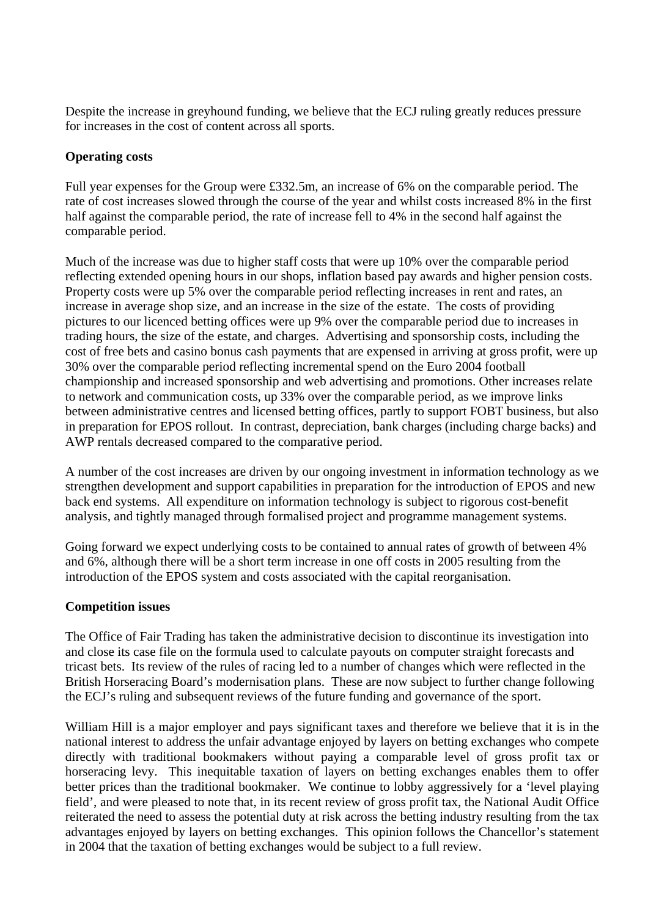Despite the increase in greyhound funding, we believe that the ECJ ruling greatly reduces pressure for increases in the cost of content across all sports.

### **Operating costs**

Full year expenses for the Group were £332.5m, an increase of 6% on the comparable period. The rate of cost increases slowed through the course of the year and whilst costs increased 8% in the first half against the comparable period, the rate of increase fell to 4% in the second half against the comparable period.

Much of the increase was due to higher staff costs that were up 10% over the comparable period reflecting extended opening hours in our shops, inflation based pay awards and higher pension costs. Property costs were up 5% over the comparable period reflecting increases in rent and rates, an increase in average shop size, and an increase in the size of the estate. The costs of providing pictures to our licenced betting offices were up 9% over the comparable period due to increases in trading hours, the size of the estate, and charges. Advertising and sponsorship costs, including the cost of free bets and casino bonus cash payments that are expensed in arriving at gross profit, were up 30% over the comparable period reflecting incremental spend on the Euro 2004 football championship and increased sponsorship and web advertising and promotions. Other increases relate to network and communication costs, up 33% over the comparable period, as we improve links between administrative centres and licensed betting offices, partly to support FOBT business, but also in preparation for EPOS rollout. In contrast, depreciation, bank charges (including charge backs) and AWP rentals decreased compared to the comparative period.

A number of the cost increases are driven by our ongoing investment in information technology as we strengthen development and support capabilities in preparation for the introduction of EPOS and new back end systems. All expenditure on information technology is subject to rigorous cost-benefit analysis, and tightly managed through formalised project and programme management systems.

Going forward we expect underlying costs to be contained to annual rates of growth of between 4% and 6%, although there will be a short term increase in one off costs in 2005 resulting from the introduction of the EPOS system and costs associated with the capital reorganisation.

#### **Competition issues**

The Office of Fair Trading has taken the administrative decision to discontinue its investigation into and close its case file on the formula used to calculate payouts on computer straight forecasts and tricast bets. Its review of the rules of racing led to a number of changes which were reflected in the British Horseracing Board's modernisation plans. These are now subject to further change following the ECJ's ruling and subsequent reviews of the future funding and governance of the sport.

William Hill is a major employer and pays significant taxes and therefore we believe that it is in the national interest to address the unfair advantage enjoyed by layers on betting exchanges who compete directly with traditional bookmakers without paying a comparable level of gross profit tax or horseracing levy. This inequitable taxation of layers on betting exchanges enables them to offer better prices than the traditional bookmaker. We continue to lobby aggressively for a 'level playing field', and were pleased to note that, in its recent review of gross profit tax, the National Audit Office reiterated the need to assess the potential duty at risk across the betting industry resulting from the tax advantages enjoyed by layers on betting exchanges. This opinion follows the Chancellor's statement in 2004 that the taxation of betting exchanges would be subject to a full review.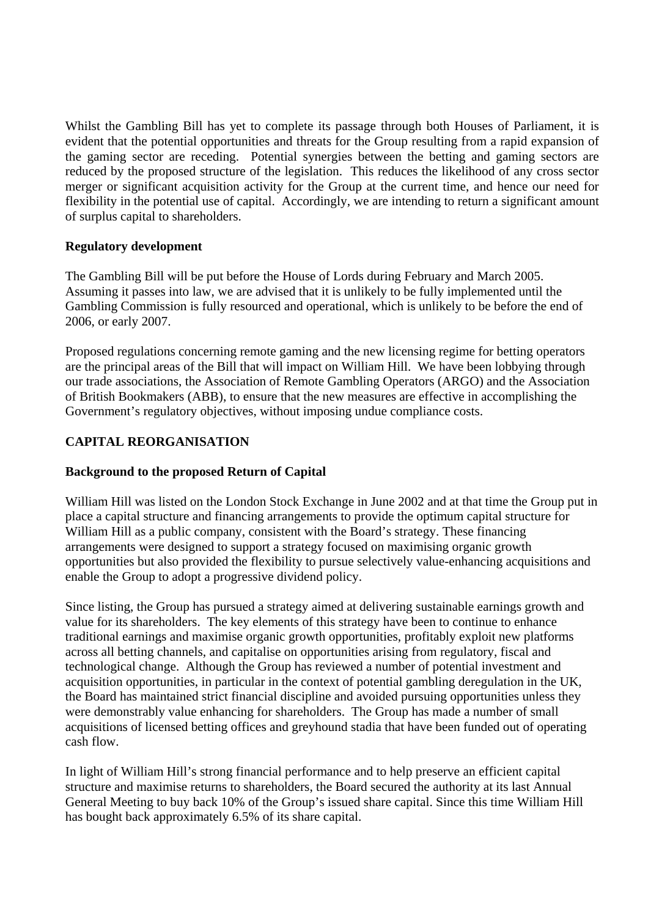Whilst the Gambling Bill has yet to complete its passage through both Houses of Parliament, it is evident that the potential opportunities and threats for the Group resulting from a rapid expansion of the gaming sector are receding. Potential synergies between the betting and gaming sectors are reduced by the proposed structure of the legislation. This reduces the likelihood of any cross sector merger or significant acquisition activity for the Group at the current time, and hence our need for flexibility in the potential use of capital. Accordingly, we are intending to return a significant amount of surplus capital to shareholders.

### **Regulatory development**

The Gambling Bill will be put before the House of Lords during February and March 2005. Assuming it passes into law, we are advised that it is unlikely to be fully implemented until the Gambling Commission is fully resourced and operational, which is unlikely to be before the end of 2006, or early 2007.

Proposed regulations concerning remote gaming and the new licensing regime for betting operators are the principal areas of the Bill that will impact on William Hill. We have been lobbying through our trade associations, the Association of Remote Gambling Operators (ARGO) and the Association of British Bookmakers (ABB), to ensure that the new measures are effective in accomplishing the Government's regulatory objectives, without imposing undue compliance costs.

# **CAPITAL REORGANISATION**

# **Background to the proposed Return of Capital**

William Hill was listed on the London Stock Exchange in June 2002 and at that time the Group put in place a capital structure and financing arrangements to provide the optimum capital structure for William Hill as a public company, consistent with the Board's strategy. These financing arrangements were designed to support a strategy focused on maximising organic growth opportunities but also provided the flexibility to pursue selectively value-enhancing acquisitions and enable the Group to adopt a progressive dividend policy.

Since listing, the Group has pursued a strategy aimed at delivering sustainable earnings growth and value for its shareholders. The key elements of this strategy have been to continue to enhance traditional earnings and maximise organic growth opportunities, profitably exploit new platforms across all betting channels, and capitalise on opportunities arising from regulatory, fiscal and technological change. Although the Group has reviewed a number of potential investment and acquisition opportunities, in particular in the context of potential gambling deregulation in the UK, the Board has maintained strict financial discipline and avoided pursuing opportunities unless they were demonstrably value enhancing for shareholders. The Group has made a number of small acquisitions of licensed betting offices and greyhound stadia that have been funded out of operating cash flow.

In light of William Hill's strong financial performance and to help preserve an efficient capital structure and maximise returns to shareholders, the Board secured the authority at its last Annual General Meeting to buy back 10% of the Group's issued share capital. Since this time William Hill has bought back approximately 6.5% of its share capital.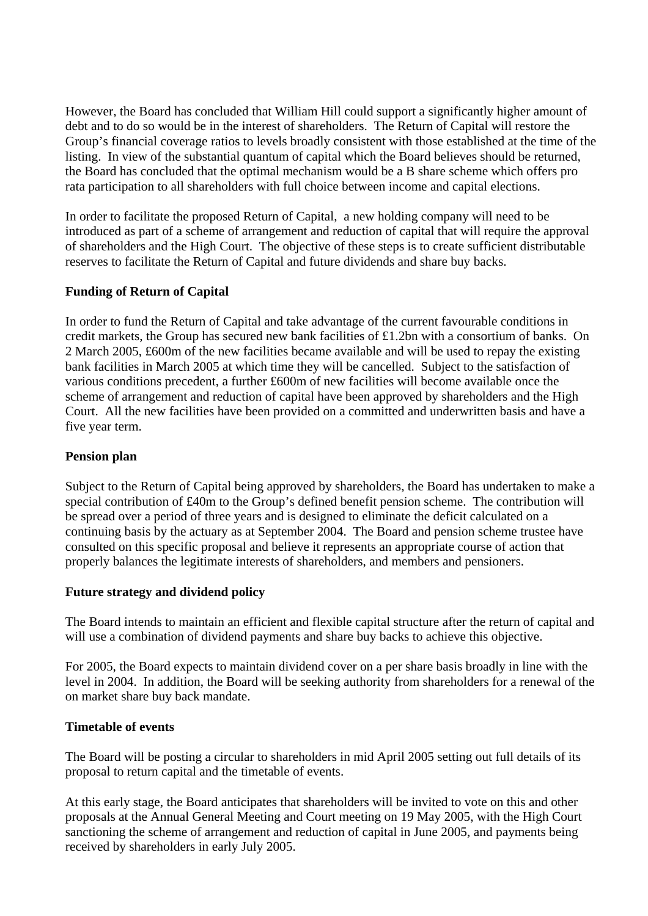However, the Board has concluded that William Hill could support a significantly higher amount of debt and to do so would be in the interest of shareholders. The Return of Capital will restore the Group's financial coverage ratios to levels broadly consistent with those established at the time of the listing. In view of the substantial quantum of capital which the Board believes should be returned, the Board has concluded that the optimal mechanism would be a B share scheme which offers pro rata participation to all shareholders with full choice between income and capital elections.

In order to facilitate the proposed Return of Capital, a new holding company will need to be introduced as part of a scheme of arrangement and reduction of capital that will require the approval of shareholders and the High Court. The objective of these steps is to create sufficient distributable reserves to facilitate the Return of Capital and future dividends and share buy backs.

### **Funding of Return of Capital**

In order to fund the Return of Capital and take advantage of the current favourable conditions in credit markets, the Group has secured new bank facilities of £1.2bn with a consortium of banks. On 2 March 2005, £600m of the new facilities became available and will be used to repay the existing bank facilities in March 2005 at which time they will be cancelled. Subject to the satisfaction of various conditions precedent, a further £600m of new facilities will become available once the scheme of arrangement and reduction of capital have been approved by shareholders and the High Court. All the new facilities have been provided on a committed and underwritten basis and have a five year term.

#### **Pension plan**

Subject to the Return of Capital being approved by shareholders, the Board has undertaken to make a special contribution of £40m to the Group's defined benefit pension scheme. The contribution will be spread over a period of three years and is designed to eliminate the deficit calculated on a continuing basis by the actuary as at September 2004. The Board and pension scheme trustee have consulted on this specific proposal and believe it represents an appropriate course of action that properly balances the legitimate interests of shareholders, and members and pensioners.

#### **Future strategy and dividend policy**

The Board intends to maintain an efficient and flexible capital structure after the return of capital and will use a combination of dividend payments and share buy backs to achieve this objective.

For 2005, the Board expects to maintain dividend cover on a per share basis broadly in line with the level in 2004. In addition, the Board will be seeking authority from shareholders for a renewal of the on market share buy back mandate.

#### **Timetable of events**

The Board will be posting a circular to shareholders in mid April 2005 setting out full details of its proposal to return capital and the timetable of events.

At this early stage, the Board anticipates that shareholders will be invited to vote on this and other proposals at the Annual General Meeting and Court meeting on 19 May 2005, with the High Court sanctioning the scheme of arrangement and reduction of capital in June 2005, and payments being received by shareholders in early July 2005.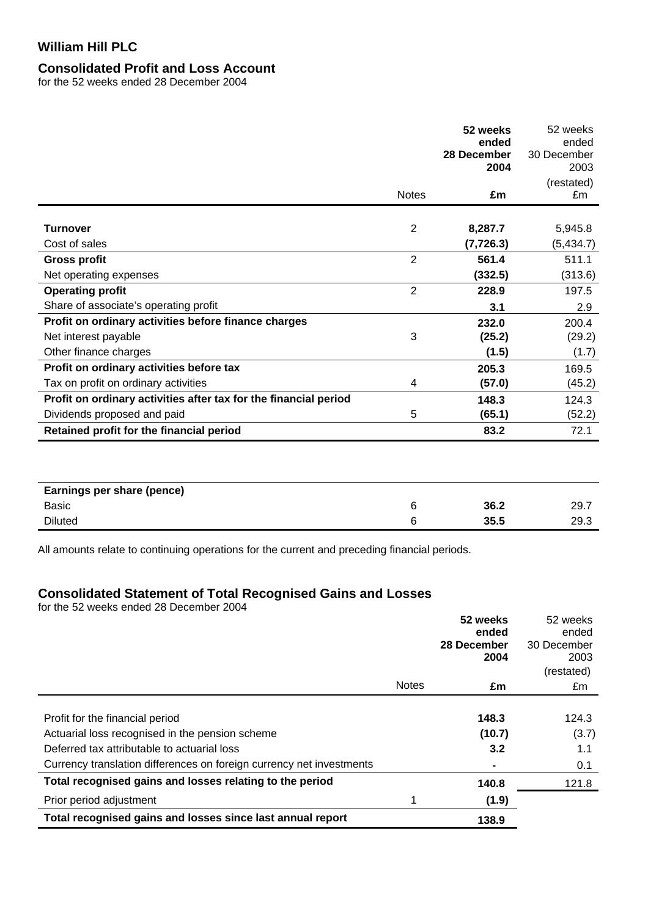### **Consolidated Profit and Loss Account**

for the 52 weeks ended 28 December 2004

|                                                                  |                | 52 weeks<br>ended<br>28 December<br>2004 | 52 weeks<br>ended<br>30 December<br>2003<br>(restated) |
|------------------------------------------------------------------|----------------|------------------------------------------|--------------------------------------------------------|
|                                                                  | <b>Notes</b>   | £m                                       | £m                                                     |
| Turnover<br>Cost of sales                                        | $\overline{2}$ | 8,287.7<br>(7, 726.3)                    | 5,945.8<br>(5, 434.7)                                  |
| <b>Gross profit</b>                                              | $\overline{2}$ | 561.4                                    | 511.1                                                  |
| Net operating expenses                                           |                | (332.5)                                  | (313.6)                                                |
| <b>Operating profit</b>                                          | $\overline{2}$ | 228.9                                    | 197.5                                                  |
| Share of associate's operating profit                            |                | 3.1                                      | 2.9                                                    |
| Profit on ordinary activities before finance charges             |                | 232.0                                    | 200.4                                                  |
| Net interest payable                                             | 3              | (25.2)                                   | (29.2)                                                 |
| Other finance charges                                            |                | (1.5)                                    | (1.7)                                                  |
| Profit on ordinary activities before tax                         |                | 205.3                                    | 169.5                                                  |
| Tax on profit on ordinary activities                             | 4              | (57.0)                                   | (45.2)                                                 |
| Profit on ordinary activities after tax for the financial period |                | 148.3                                    | 124.3                                                  |
| Dividends proposed and paid                                      | 5              | (65.1)                                   | (52.2)                                                 |
| Retained profit for the financial period                         |                | 83.2                                     | 72.1                                                   |
| Earnings per share (pence)                                       |                |                                          |                                                        |

Basic 6 **36.2** 29.7 Diluted 6 **35.5** 29.3

All amounts relate to continuing operations for the current and preceding financial periods.

# **Consolidated Statement of Total Recognised Gains and Losses**

for the 52 weeks ended 28 December 2004

|                                                                      |              | 52 weeks<br>ended<br>28 December<br>2004 | 52 weeks<br>ended<br>30 December<br>2003<br>(restated) |
|----------------------------------------------------------------------|--------------|------------------------------------------|--------------------------------------------------------|
|                                                                      | <b>Notes</b> | £m                                       | £m                                                     |
|                                                                      |              |                                          |                                                        |
| Profit for the financial period                                      |              | 148.3                                    | 124.3                                                  |
| Actuarial loss recognised in the pension scheme                      |              | (10.7)                                   | (3.7)                                                  |
| Deferred tax attributable to actuarial loss                          |              | 3.2                                      | 1.1                                                    |
| Currency translation differences on foreign currency net investments |              |                                          | 0.1                                                    |
| Total recognised gains and losses relating to the period             |              | 140.8                                    | 121.8                                                  |
| Prior period adjustment                                              |              | (1.9)                                    |                                                        |
| Total recognised gains and losses since last annual report           |              | 138.9                                    |                                                        |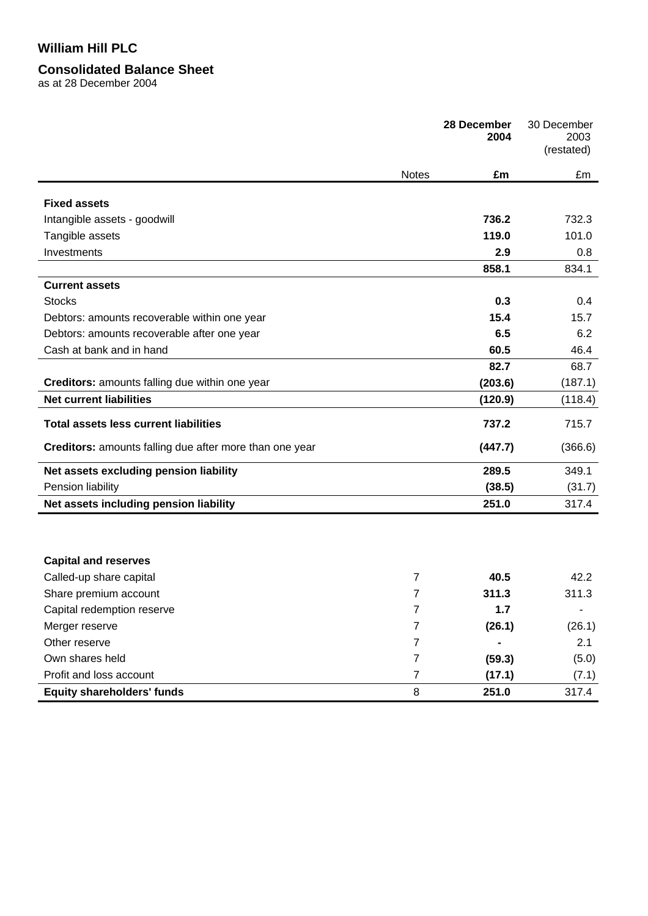#### **Consolidated Balance Sheet**

as at 28 December 2004

|                                                                |                | 28 December<br>2004 | 30 December<br>2003<br>(restated) |
|----------------------------------------------------------------|----------------|---------------------|-----------------------------------|
|                                                                | <b>Notes</b>   | £m                  | £m                                |
| <b>Fixed assets</b>                                            |                |                     |                                   |
| Intangible assets - goodwill                                   |                | 736.2               | 732.3                             |
| Tangible assets                                                |                | 119.0               | 101.0                             |
| Investments                                                    |                | 2.9                 | 0.8                               |
|                                                                |                | 858.1               | 834.1                             |
| <b>Current assets</b>                                          |                |                     |                                   |
| <b>Stocks</b>                                                  |                | 0.3                 | 0.4                               |
| Debtors: amounts recoverable within one year                   |                | 15.4                | 15.7                              |
| Debtors: amounts recoverable after one year                    |                | 6.5                 | 6.2                               |
| Cash at bank and in hand                                       |                | 60.5                | 46.4                              |
|                                                                |                | 82.7                | 68.7                              |
| Creditors: amounts falling due within one year                 |                | (203.6)             | (187.1)                           |
| <b>Net current liabilities</b>                                 |                | (120.9)             | (118.4)                           |
| <b>Total assets less current liabilities</b>                   |                | 737.2               | 715.7                             |
| <b>Creditors:</b> amounts falling due after more than one year |                | (447.7)             | (366.6)                           |
| Net assets excluding pension liability                         |                | 289.5               | 349.1                             |
| Pension liability                                              |                | (38.5)              | (31.7)                            |
| Net assets including pension liability                         |                | 251.0               | 317.4                             |
|                                                                |                |                     |                                   |
| <b>Capital and reserves</b><br>Called-up share capital         | $\overline{7}$ | 40.5                | 42.2                              |
| Share premium account                                          | 7              | 311.3               | 311.3                             |
| Capital redemption reserve                                     | $\overline{7}$ | 1.7                 |                                   |
| Merger reserve                                                 | 7              | (26.1)              | (26.1)                            |
| Other reserve                                                  | 7              |                     | 2.1                               |
| Own shares held                                                | 7              | (59.3)              | (5.0)                             |
| Profit and loss account                                        | 7              | (17.1)              | (7.1)                             |
| <b>Equity shareholders' funds</b>                              | 8              | 251.0               | 317.4                             |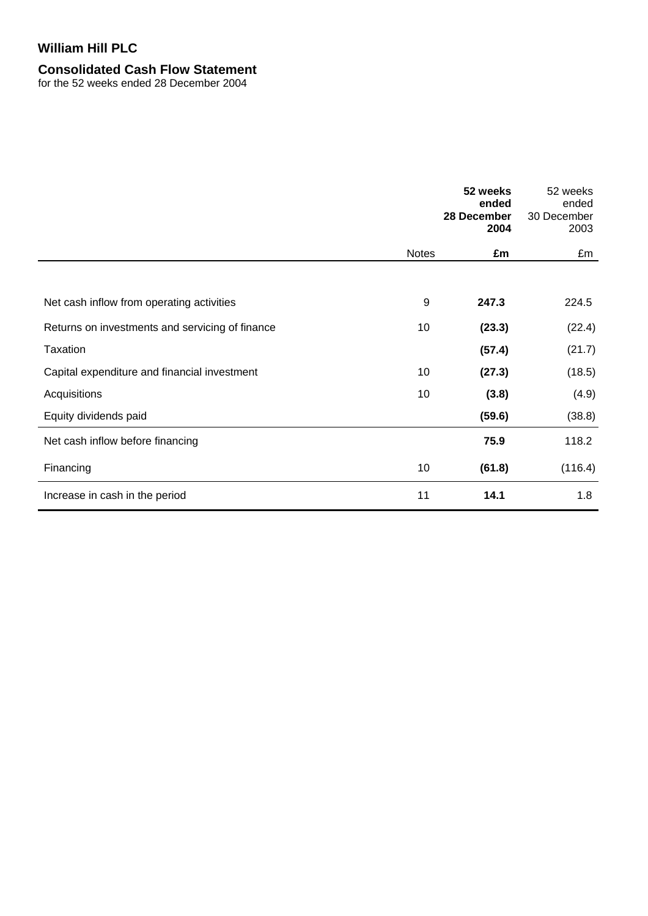# **Consolidated Cash Flow Statement**

for the 52 weeks ended 28 December 2004

|                                                 |              | 52 weeks<br>ended<br>28 December<br>2004 | 52 weeks<br>ended<br>30 December<br>2003 |
|-------------------------------------------------|--------------|------------------------------------------|------------------------------------------|
|                                                 | <b>Notes</b> | £m                                       | £m                                       |
|                                                 |              |                                          |                                          |
| Net cash inflow from operating activities       | 9            | 247.3                                    | 224.5                                    |
| Returns on investments and servicing of finance | 10           | (23.3)                                   | (22.4)                                   |
| Taxation                                        |              | (57.4)                                   | (21.7)                                   |
| Capital expenditure and financial investment    | 10           | (27.3)                                   | (18.5)                                   |
| Acquisitions                                    | 10           | (3.8)                                    | (4.9)                                    |
| Equity dividends paid                           |              | (59.6)                                   | (38.8)                                   |
| Net cash inflow before financing                |              | 75.9                                     | 118.2                                    |
| Financing                                       | 10           | (61.8)                                   | (116.4)                                  |
| Increase in cash in the period                  | 11           | 14.1                                     | 1.8                                      |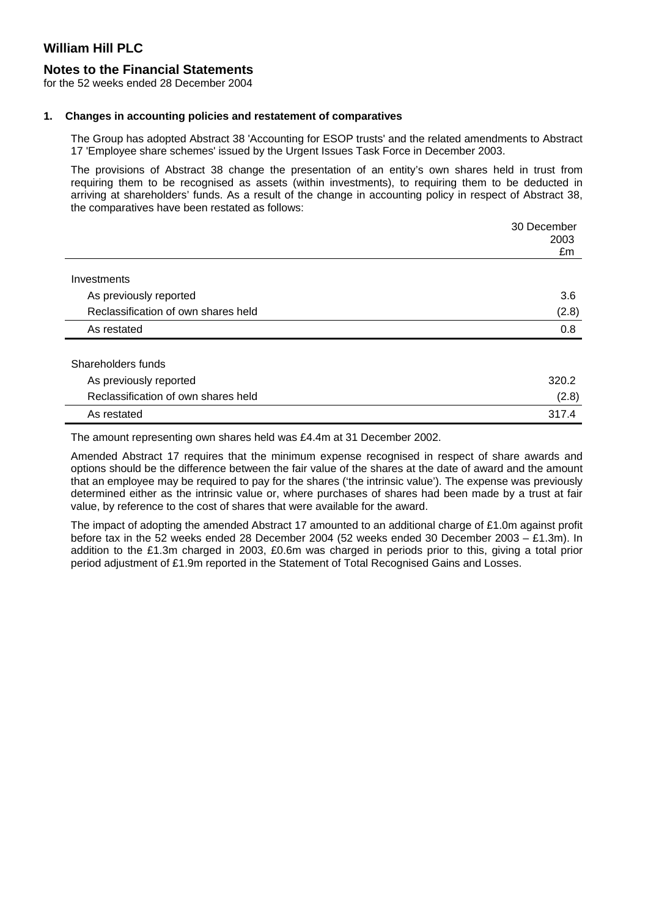#### **Notes to the Financial Statements**

for the 52 weeks ended 28 December 2004

#### **1. Changes in accounting policies and restatement of comparatives**

The Group has adopted Abstract 38 'Accounting for ESOP trusts' and the related amendments to Abstract 17 'Employee share schemes' issued by the Urgent Issues Task Force in December 2003.

The provisions of Abstract 38 change the presentation of an entity's own shares held in trust from requiring them to be recognised as assets (within investments), to requiring them to be deducted in arriving at shareholders' funds. As a result of the change in accounting policy in respect of Abstract 38, the comparatives have been restated as follows:

|                                     | 30 December<br>2003<br>£m |
|-------------------------------------|---------------------------|
| Investments                         |                           |
| As previously reported              | 3.6                       |
| Reclassification of own shares held | (2.8)                     |
| As restated                         | 0.8                       |
| Shareholders funds                  |                           |
| As previously reported              | 320.2                     |
| Reclassification of own shares held | (2.8)                     |
| As restated                         | 317.4                     |

The amount representing own shares held was £4.4m at 31 December 2002.

Amended Abstract 17 requires that the minimum expense recognised in respect of share awards and options should be the difference between the fair value of the shares at the date of award and the amount that an employee may be required to pay for the shares ('the intrinsic value'). The expense was previously determined either as the intrinsic value or, where purchases of shares had been made by a trust at fair value, by reference to the cost of shares that were available for the award.

The impact of adopting the amended Abstract 17 amounted to an additional charge of £1.0m against profit before tax in the 52 weeks ended 28 December 2004 (52 weeks ended 30 December 2003 – £1.3m). In addition to the £1.3m charged in 2003, £0.6m was charged in periods prior to this, giving a total prior period adjustment of £1.9m reported in the Statement of Total Recognised Gains and Losses.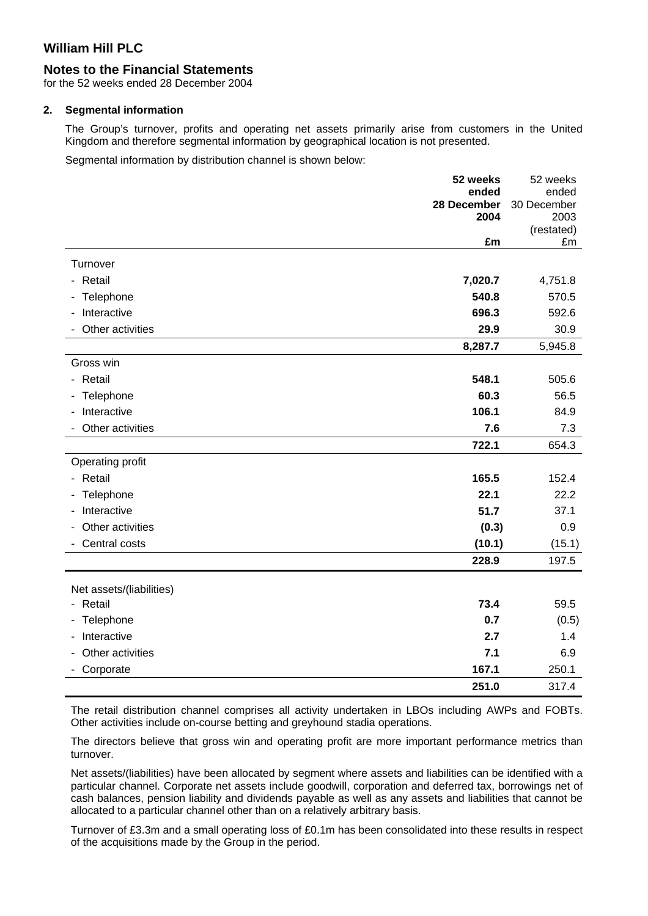# **Notes to the Financial Statements**

for the 52 weeks ended 28 December 2004

#### **2. Segmental information**

The Group's turnover, profits and operating net assets primarily arise from customers in the United Kingdom and therefore segmental information by geographical location is not presented.

Segmental information by distribution channel is shown below:

|                          | 52 weeks            | 52 weeks            |
|--------------------------|---------------------|---------------------|
|                          | ended               | ended               |
|                          | 28 December<br>2004 | 30 December<br>2003 |
|                          |                     | (restated)          |
|                          | £m                  | £m                  |
| Turnover                 |                     |                     |
| - Retail                 | 7,020.7             | 4,751.8             |
| - Telephone              | 540.8               | 570.5               |
| Interactive              | 696.3               | 592.6               |
| Other activities         | 29.9                | 30.9                |
|                          | 8,287.7             | 5,945.8             |
| Gross win                |                     |                     |
| - Retail                 | 548.1               | 505.6               |
| - Telephone              | 60.3                | 56.5                |
| Interactive              | 106.1               | 84.9                |
| Other activities         | 7.6                 | 7.3                 |
|                          | 722.1               | 654.3               |
| Operating profit         |                     |                     |
| - Retail                 | 165.5               | 152.4               |
| Telephone<br>$\sim$      | 22.1                | 22.2                |
| Interactive              | 51.7                | 37.1                |
| Other activities         | (0.3)               | 0.9                 |
| Central costs            | (10.1)              | (15.1)              |
|                          | 228.9               | 197.5               |
|                          |                     |                     |
| Net assets/(liabilities) |                     |                     |
| - Retail                 | 73.4                | 59.5                |
| - Telephone              | 0.7                 | (0.5)               |
| Interactive              | 2.7                 | 1.4                 |
| Other activities         | 7.1                 | 6.9                 |
| Corporate                | 167.1               | 250.1               |
|                          | 251.0               | 317.4               |

The retail distribution channel comprises all activity undertaken in LBOs including AWPs and FOBTs. Other activities include on-course betting and greyhound stadia operations.

The directors believe that gross win and operating profit are more important performance metrics than turnover.

Net assets/(liabilities) have been allocated by segment where assets and liabilities can be identified with a particular channel. Corporate net assets include goodwill, corporation and deferred tax, borrowings net of cash balances, pension liability and dividends payable as well as any assets and liabilities that cannot be allocated to a particular channel other than on a relatively arbitrary basis.

Turnover of £3.3m and a small operating loss of £0.1m has been consolidated into these results in respect of the acquisitions made by the Group in the period.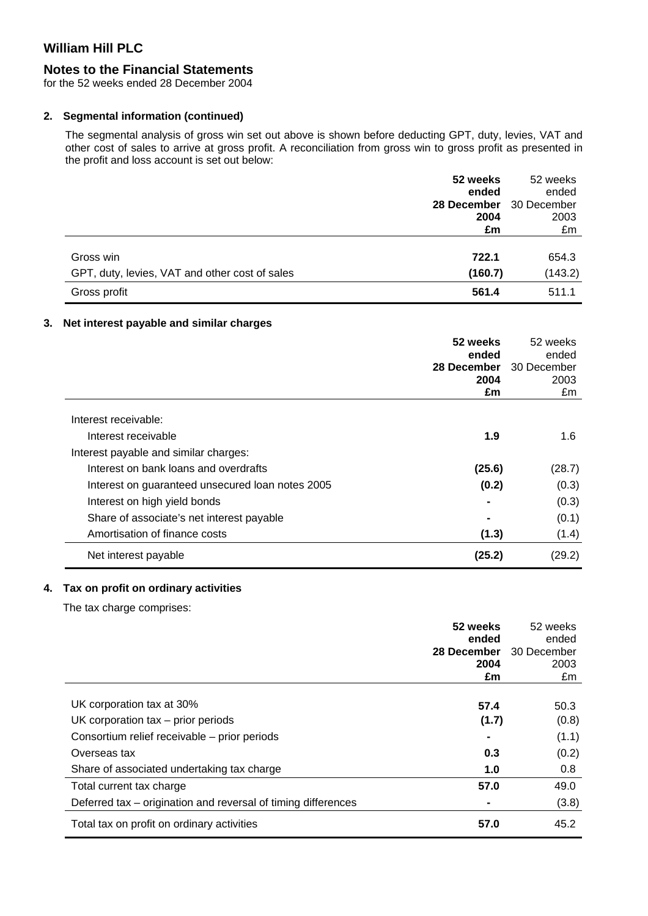# **Notes to the Financial Statements**

for the 52 weeks ended 28 December 2004

### **2. Segmental information (continued)**

The segmental analysis of gross win set out above is shown before deducting GPT, duty, levies, VAT and other cost of sales to arrive at gross profit. A reconciliation from gross win to gross profit as presented in the profit and loss account is set out below:

|                                                | 52 weeks    | 52 weeks    |
|------------------------------------------------|-------------|-------------|
|                                                | ended       | ended       |
|                                                | 28 December | 30 December |
|                                                | 2004        | 2003        |
|                                                | £m          | £m          |
|                                                |             |             |
| Gross win                                      | 722.1       | 654.3       |
| GPT, duty, levies, VAT and other cost of sales | (160.7)     | (143.2)     |
| Gross profit                                   | 561.4       | 511.1       |

### **3. Net interest payable and similar charges**

|                                                  | 52 weeks<br>ended<br>28 December | 52 weeks<br>ended<br>30 December |
|--------------------------------------------------|----------------------------------|----------------------------------|
|                                                  | 2004                             | 2003                             |
|                                                  | £m                               | £m                               |
| Interest receivable:                             |                                  |                                  |
| Interest receivable                              | 1.9                              | 1.6                              |
| Interest payable and similar charges:            |                                  |                                  |
| Interest on bank loans and overdrafts            | (25.6)                           | (28.7)                           |
| Interest on guaranteed unsecured loan notes 2005 | (0.2)                            | (0.3)                            |
| Interest on high yield bonds                     |                                  | (0.3)                            |
| Share of associate's net interest payable        |                                  | (0.1)                            |
| Amortisation of finance costs                    | (1.3)                            | (1.4)                            |
| Net interest payable                             | (25.2)                           | (29.2)                           |

### **4. Tax on profit on ordinary activities**

The tax charge comprises:

|                                                               | 52 weeks    | 52 weeks    |
|---------------------------------------------------------------|-------------|-------------|
|                                                               | ended       | ended       |
|                                                               | 28 December | 30 December |
|                                                               | 2004        | 2003        |
|                                                               | £m          | £m          |
|                                                               |             |             |
| UK corporation tax at 30%                                     | 57.4        | 50.3        |
| UK corporation $tax - prior$ prior $periods$                  | (1.7)       | (0.8)       |
| Consortium relief receivable - prior periods                  |             | (1.1)       |
| Overseas tax                                                  | 0.3         | (0.2)       |
| Share of associated undertaking tax charge                    | 1.0         | 0.8         |
| Total current tax charge                                      | 57.0        | 49.0        |
| Deferred tax – origination and reversal of timing differences |             | (3.8)       |
| Total tax on profit on ordinary activities                    | 57.0        | 45.2        |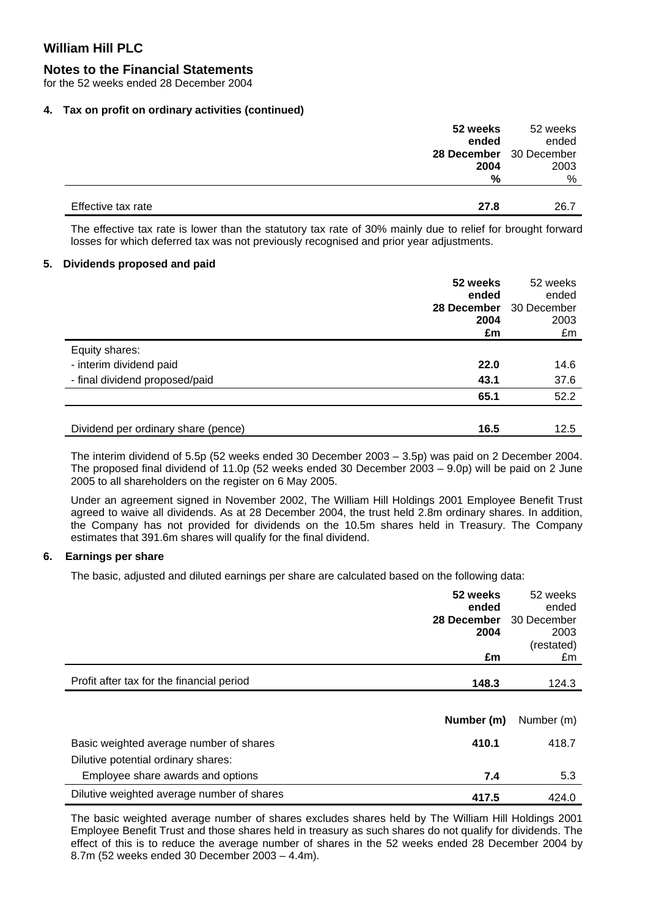#### **Notes to the Financial Statements**

for the 52 weeks ended 28 December 2004

#### **4. Tax on profit on ordinary activities (continued)**

|                    | 52 weeks                | 52 weeks |
|--------------------|-------------------------|----------|
|                    | ended                   | ended    |
|                    | 28 December 30 December |          |
|                    | 2004                    | 2003     |
|                    | %                       | %        |
|                    |                         |          |
| Effective tax rate | 27.8                    | 26.7     |

The effective tax rate is lower than the statutory tax rate of 30% mainly due to relief for brought forward losses for which deferred tax was not previously recognised and prior year adjustments.

#### **5. Dividends proposed and paid**

|                                     | 52 weeks<br>ended<br>28 December | 52 weeks<br>ended<br>30 December |
|-------------------------------------|----------------------------------|----------------------------------|
|                                     | 2004<br>£m                       | 2003<br>£m                       |
| Equity shares:                      |                                  |                                  |
| - interim dividend paid             | 22.0                             | 14.6                             |
| - final dividend proposed/paid      | 43.1                             | 37.6                             |
|                                     | 65.1                             | 52.2                             |
|                                     |                                  |                                  |
| Dividend per ordinary share (pence) | 16.5                             | 12.5                             |

The interim dividend of 5.5p (52 weeks ended 30 December 2003 – 3.5p) was paid on 2 December 2004. The proposed final dividend of 11.0p (52 weeks ended 30 December 2003 – 9.0p) will be paid on 2 June 2005 to all shareholders on the register on 6 May 2005.

Under an agreement signed in November 2002, The William Hill Holdings 2001 Employee Benefit Trust agreed to waive all dividends. As at 28 December 2004, the trust held 2.8m ordinary shares. In addition, the Company has not provided for dividends on the 10.5m shares held in Treasury. The Company estimates that 391.6m shares will qualify for the final dividend.

#### **6. Earnings per share**

The basic, adjusted and diluted earnings per share are calculated based on the following data:

|                                            | 52 weeks<br>ended   | 52 weeks<br>ended   |
|--------------------------------------------|---------------------|---------------------|
|                                            | 28 December<br>2004 | 30 December<br>2003 |
|                                            | £m                  | (restated)<br>£m    |
| Profit after tax for the financial period  | 148.3               | 124.3               |
|                                            |                     |                     |
|                                            | Number (m)          | Number (m)          |
| Basic weighted average number of shares    | 410.1               | 418.7               |
| Dilutive potential ordinary shares:        |                     |                     |
| Employee share awards and options          | 7.4                 | 5.3                 |
| Dilutive weighted average number of shares | 417.5               | 424.0               |

The basic weighted average number of shares excludes shares held by The William Hill Holdings 2001 Employee Benefit Trust and those shares held in treasury as such shares do not qualify for dividends. The effect of this is to reduce the average number of shares in the 52 weeks ended 28 December 2004 by 8.7m (52 weeks ended 30 December 2003 – 4.4m).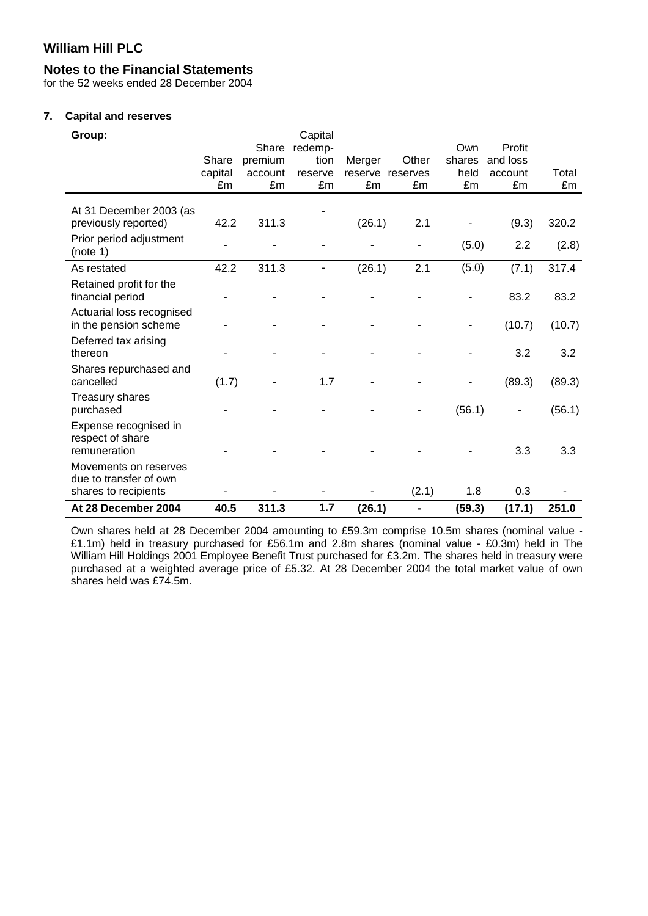# **Notes to the Financial Statements**

for the 52 weeks ended 28 December 2004

#### **7. Capital and reserves**

| Group:                                                                  |         |         | Capital |         |                |        |          |        |
|-------------------------------------------------------------------------|---------|---------|---------|---------|----------------|--------|----------|--------|
|                                                                         |         | Share   | redemp- |         |                | Own    | Profit   |        |
|                                                                         | Share   | premium | tion    | Merger  | Other          | shares | and loss |        |
|                                                                         | capital | account | reserve | reserve | reserves       | held   | account  | Total  |
|                                                                         | £m      | £m      | £m      | £m      | £m             | £m     | £m       | £m     |
| At 31 December 2003 (as<br>previously reported)                         | 42.2    | 311.3   |         | (26.1)  | 2.1            |        | (9.3)    | 320.2  |
| Prior period adjustment<br>(note 1)                                     |         |         |         |         |                | (5.0)  | 2.2      | (2.8)  |
| As restated                                                             | 42.2    | 311.3   |         | (26.1)  | 2.1            | (5.0)  | (7.1)    | 317.4  |
| Retained profit for the<br>financial period                             |         |         |         |         |                |        | 83.2     | 83.2   |
| Actuarial loss recognised<br>in the pension scheme                      |         |         |         |         |                |        | (10.7)   | (10.7) |
| Deferred tax arising<br>thereon                                         |         |         |         |         |                |        | 3.2      | 3.2    |
| Shares repurchased and<br>cancelled                                     | (1.7)   |         | 1.7     |         |                |        | (89.3)   | (89.3) |
| <b>Treasury shares</b><br>purchased                                     |         |         |         |         |                | (56.1) |          | (56.1) |
| Expense recognised in<br>respect of share<br>remuneration               |         |         |         |         |                |        | 3.3      | 3.3    |
| Movements on reserves<br>due to transfer of own<br>shares to recipients |         |         |         |         | (2.1)          | 1.8    | 0.3      |        |
| At 28 December 2004                                                     | 40.5    | 311.3   | 1.7     | (26.1)  | $\blacksquare$ | (59.3) | (17.1)   | 251.0  |

Own shares held at 28 December 2004 amounting to £59.3m comprise 10.5m shares (nominal value - £1.1m) held in treasury purchased for £56.1m and 2.8m shares (nominal value - £0.3m) held in The William Hill Holdings 2001 Employee Benefit Trust purchased for £3.2m. The shares held in treasury were purchased at a weighted average price of £5.32. At 28 December 2004 the total market value of own shares held was £74.5m.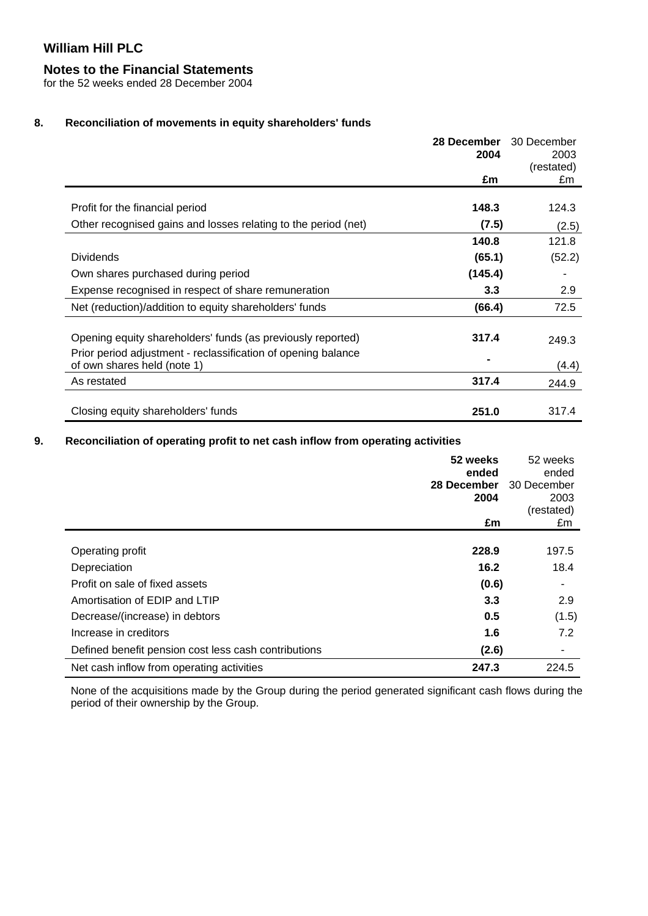# **Notes to the Financial Statements**

for the 52 weeks ended 28 December 2004

# **8. Reconciliation of movements in equity shareholders' funds**

|                                                                | 28 December | 30 December |
|----------------------------------------------------------------|-------------|-------------|
|                                                                | 2004        | 2003        |
|                                                                |             | (restated)  |
|                                                                | £m          | £m          |
|                                                                |             |             |
| Profit for the financial period                                | 148.3       | 124.3       |
| Other recognised gains and losses relating to the period (net) | (7.5)       | (2.5)       |
|                                                                | 140.8       | 121.8       |
| <b>Dividends</b>                                               | (65.1)      | (52.2)      |
| Own shares purchased during period                             | (145.4)     |             |
| Expense recognised in respect of share remuneration            | 3.3         | 2.9         |
| Net (reduction)/addition to equity shareholders' funds         | (66.4)      | 72.5        |
|                                                                |             |             |
| Opening equity shareholders' funds (as previously reported)    | 317.4       | 249.3       |
| Prior period adjustment - reclassification of opening balance  |             |             |
| of own shares held (note 1)                                    |             | (4.4)       |
| As restated                                                    | 317.4       | 244.9       |
|                                                                |             |             |
| Closing equity shareholders' funds                             | 251.0       | 317.4       |

# **9. Reconciliation of operating profit to net cash inflow from operating activities**

|                                                      | 52 weeks<br>ended<br>28 December<br>2004<br>£m | 52 weeks<br>ended<br>30 December<br>2003<br>(restated)<br>£m |
|------------------------------------------------------|------------------------------------------------|--------------------------------------------------------------|
|                                                      |                                                |                                                              |
| Operating profit                                     | 228.9                                          | 197.5                                                        |
| Depreciation                                         | 16.2                                           | 18.4                                                         |
| Profit on sale of fixed assets                       | (0.6)                                          | ٠                                                            |
| Amortisation of EDIP and LTIP                        | 3.3                                            | 2.9                                                          |
| Decrease/(increase) in debtors                       | 0.5                                            | (1.5)                                                        |
| Increase in creditors                                | 1.6                                            | 7.2                                                          |
| Defined benefit pension cost less cash contributions | (2.6)                                          | ٠                                                            |
| Net cash inflow from operating activities            | 247.3                                          | 224.5                                                        |

None of the acquisitions made by the Group during the period generated significant cash flows during the period of their ownership by the Group.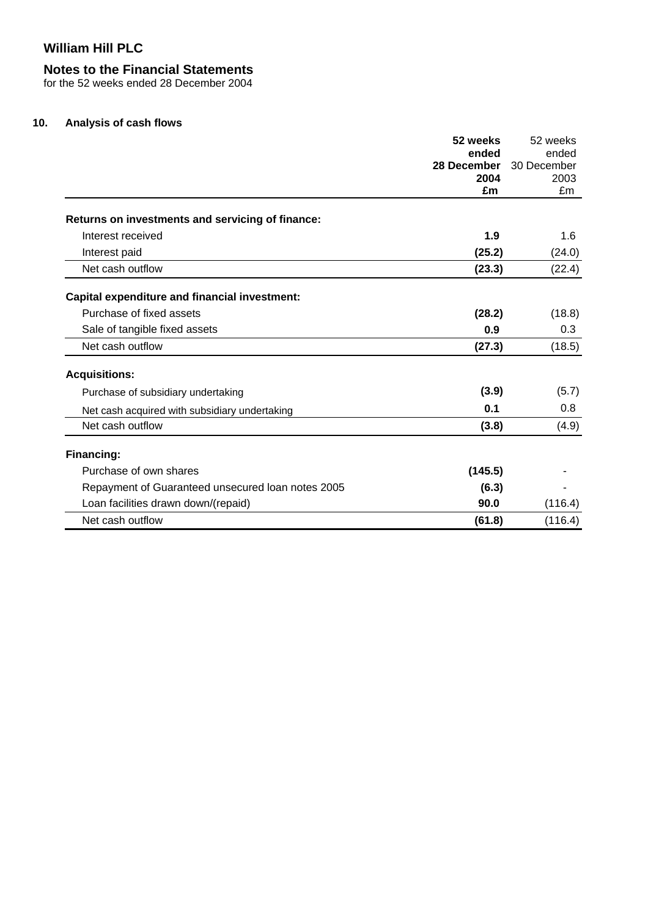### **Notes to the Financial Statements**

for the 52 weeks ended 28 December 2004

#### **10. Analysis of cash flows**

|                                                      | 52 weeks            | 52 weeks    |
|------------------------------------------------------|---------------------|-------------|
|                                                      | ended               | ended       |
|                                                      | 28 December<br>2004 | 30 December |
|                                                      | £m                  | 2003<br>£m  |
|                                                      |                     |             |
| Returns on investments and servicing of finance:     |                     |             |
| Interest received                                    | 1.9                 | 1.6         |
| Interest paid                                        | (25.2)              | (24.0)      |
| Net cash outflow                                     | (23.3)              | (22.4)      |
| <b>Capital expenditure and financial investment:</b> |                     |             |
| Purchase of fixed assets                             | (28.2)              | (18.8)      |
| Sale of tangible fixed assets                        | 0.9                 | 0.3         |
| Net cash outflow                                     | (27.3)              | (18.5)      |
| <b>Acquisitions:</b>                                 |                     |             |
| Purchase of subsidiary undertaking                   | (3.9)               | (5.7)       |
| Net cash acquired with subsidiary undertaking        | 0.1                 | 0.8         |
| Net cash outflow                                     | (3.8)               | (4.9)       |
| Financing:                                           |                     |             |
| Purchase of own shares                               | (145.5)             |             |
| Repayment of Guaranteed unsecured loan notes 2005    | (6.3)               |             |
| Loan facilities drawn down/(repaid)                  | 90.0                | (116.4)     |
| Net cash outflow                                     | (61.8)              | (116.4)     |